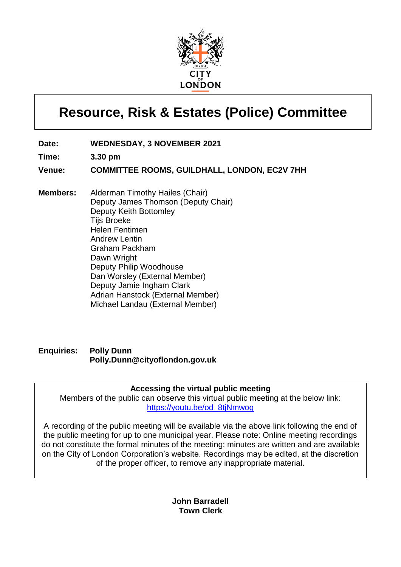

# **Resource, Risk & Estates (Police) Committee**

- **Date: WEDNESDAY, 3 NOVEMBER 2021**
- **Time: 3.30 pm**
- **Venue: COMMITTEE ROOMS, GUILDHALL, LONDON, EC2V 7HH**
- **Members:** Alderman Timothy Hailes (Chair) Deputy James Thomson (Deputy Chair) Deputy Keith Bottomley Tijs Broeke Helen Fentimen Andrew Lentin Graham Packham Dawn Wright Deputy Philip Woodhouse Dan Worsley (External Member) Deputy Jamie Ingham Clark Adrian Hanstock (External Member) Michael Landau (External Member)

## **Enquiries: Polly Dunn Polly.Dunn@cityoflondon.gov.uk**

## **Accessing the virtual public meeting**

Members of the public can observe this virtual public meeting at the below link: [https://youtu.be/od\\_8tjNmwog](https://youtu.be/od_8tjNmwog)

A recording of the public meeting will be available via the above link following the end of the public meeting for up to one municipal year. Please note: Online meeting recordings do not constitute the formal minutes of the meeting; minutes are written and are available on the City of London Corporation's website. Recordings may be edited, at the discretion of the proper officer, to remove any inappropriate material.

> **John Barradell Town Clerk**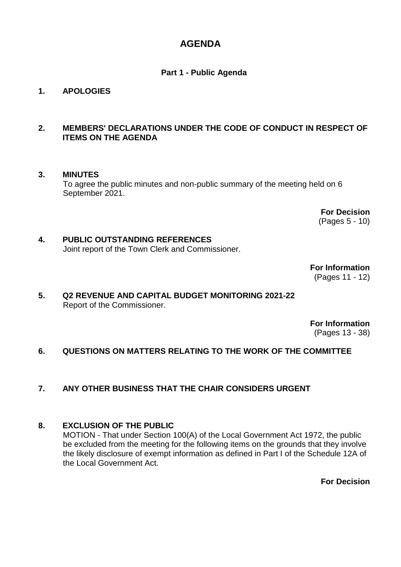# **AGENDA**

## **Part 1 - Public Agenda**

## **1. APOLOGIES**

## **2. MEMBERS' DECLARATIONS UNDER THE CODE OF CONDUCT IN RESPECT OF ITEMS ON THE AGENDA**

## **3. MINUTES**

To agree the public minutes and non-public summary of the meeting held on 6 September 2021.

> **For Decision** (Pages 5 - 10)

#### **4. PUBLIC OUTSTANDING REFERENCES** Joint report of the Town Clerk and Commissioner.

**For Information** (Pages 11 - 12)

## **5. Q2 REVENUE AND CAPITAL BUDGET MONITORING 2021-22** Report of the Commissioner.

**For Information** (Pages 13 - 38)

## **6. QUESTIONS ON MATTERS RELATING TO THE WORK OF THE COMMITTEE**

## **7. ANY OTHER BUSINESS THAT THE CHAIR CONSIDERS URGENT**

## **8. EXCLUSION OF THE PUBLIC**

MOTION - That under Section 100(A) of the Local Government Act 1972, the public be excluded from the meeting for the following items on the grounds that they involve the likely disclosure of exempt information as defined in Part I of the Schedule 12A of the Local Government Act.

**For Decision**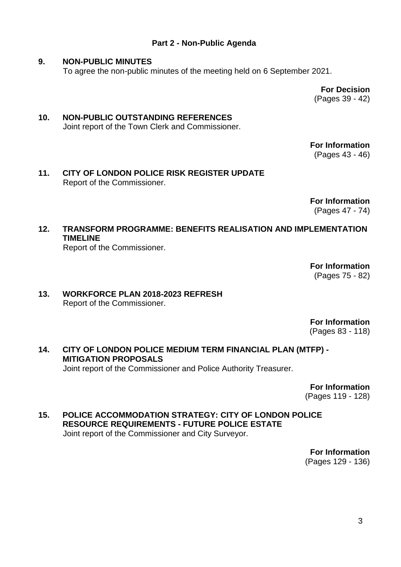## **Part 2 - Non-Public Agenda**

#### **9. NON-PUBLIC MINUTES**

To agree the non-public minutes of the meeting held on 6 September 2021.

**For Decision** (Pages 39 - 42)

## **10. NON-PUBLIC OUTSTANDING REFERENCES** Joint report of the Town Clerk and Commissioner.

**For Information**

(Pages 43 - 46)

**11. CITY OF LONDON POLICE RISK REGISTER UPDATE** Report of the Commissioner.

> **For Information** (Pages 47 - 74)

**12. TRANSFORM PROGRAMME: BENEFITS REALISATION AND IMPLEMENTATION TIMELINE**

Report of the Commissioner.

**For Information** (Pages 75 - 82)

## **13. WORKFORCE PLAN 2018-2023 REFRESH** Report of the Commissioner.

**For Information**

(Pages 83 - 118)

**14. CITY OF LONDON POLICE MEDIUM TERM FINANCIAL PLAN (MTFP) - MITIGATION PROPOSALS** Joint report of the Commissioner and Police Authority Treasurer.

**For Information**

(Pages 119 - 128)

**15. POLICE ACCOMMODATION STRATEGY: CITY OF LONDON POLICE RESOURCE REQUIREMENTS - FUTURE POLICE ESTATE** Joint report of the Commissioner and City Surveyor.

> **For Information** (Pages 129 - 136)